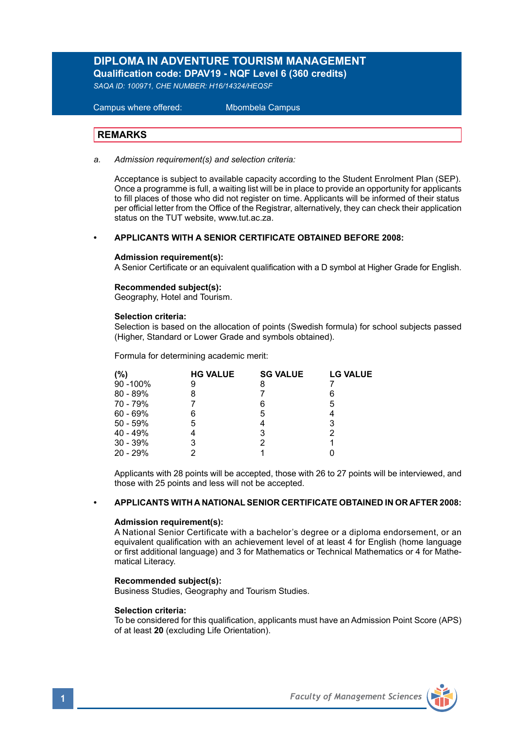## **DIPLOMA IN ADVENTURE TOURISM MANAGEMENT Qualification code: DPAV19 - NQF Level 6 (360 credits)**

*SAQA ID: 100971, CHE NUMBER: H16/14324/HEQSF* 

 Campus where offered: Mbombela Campus

### **REMARKS**

*a. Admission requirement(s) and selection criteria:*

Acceptance is subject to available capacity according to the Student Enrolment Plan (SEP). Once a programme is full, a waiting list will be in place to provide an opportunity for applicants to fill places of those who did not register on time. Applicants will be informed of their status per official letter from the Office of the Registrar, alternatively, they can check their application status on the TUT website, www.tut.ac.za.

#### **• APPLICANTS WITH A SENIOR CERTIFICATE OBTAINED BEFORE 2008:**

#### **Admission requirement(s):**

A Senior Certificate or an equivalent qualification with a D symbol at Higher Grade for English.

#### **Recommended subject(s):**

Geography, Hotel and Tourism.

#### **Selection criteria:**

Selection is based on the allocation of points (Swedish formula) for school subjects passed (Higher, Standard or Lower Grade and symbols obtained).

Formula for determining academic merit:

| (%)        | <b>HG VALUE</b> | <b>SG VALUE</b> | <b>LG VALUE</b> |
|------------|-----------------|-----------------|-----------------|
| 90 - 100%  | 9               | 8               |                 |
| 80 - 89%   | 8               |                 | 6               |
| 70 - 79%   |                 | 6               | 5               |
| $60 - 69%$ | 6               | 5               |                 |
| $50 - 59%$ | 5               |                 | 3               |
| $40 - 49%$ |                 | 3               | 2               |
| $30 - 39%$ | 3               | 2               |                 |
| 20 - 29%   |                 |                 |                 |

Applicants with 28 points will be accepted, those with 26 to 27 points will be interviewed, and those with 25 points and less will not be accepted.

#### **• APPLICANTS WITH A NATIONAL SENIOR CERTIFICATE OBTAINED IN OR AFTER 2008:**

#### **Admission requirement(s):**

A National Senior Certificate with a bachelor's degree or a diploma endorsement, or an equivalent qualification with an achievement level of at least 4 for English (home language or first additional language) and 3 for Mathematics or Technical Mathematics or 4 for Mathematical Literacy.

### **Recommended subject(s):**

Business Studies, Geography and Tourism Studies.

#### **Selection criteria:**

To be considered for this qualification, applicants must have an Admission Point Score (APS) of at least **20** (excluding Life Orientation).

**1** *Faculty of Management Sciences*

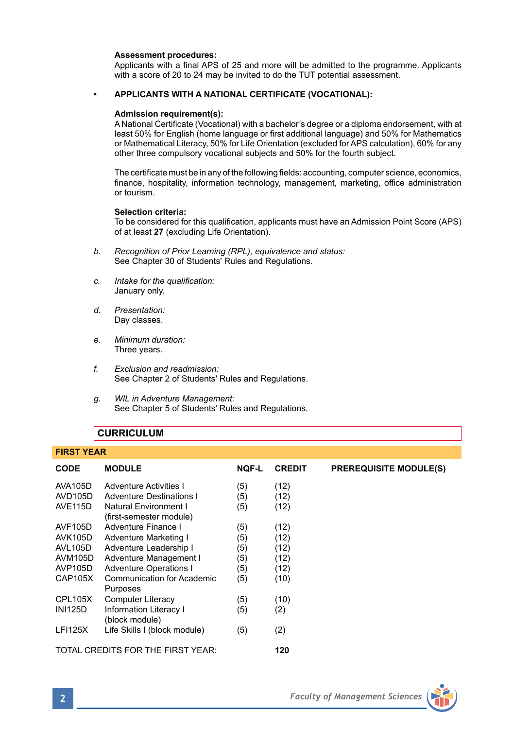#### **Assessment procedures:**

Applicants with a final APS of 25 and more will be admitted to the programme. Applicants with a score of 20 to 24 may be invited to do the TUT potential assessment.

#### **• APPLICANTS WITH A NATIONAL CERTIFICATE (VOCATIONAL):**

#### **Admission requirement(s):**

A National Certificate (Vocational) with a bachelor's degree or a diploma endorsement, with at least 50% for English (home language or first additional language) and 50% for Mathematics or Mathematical Literacy, 50% for Life Orientation (excluded for APS calculation), 60% for any other three compulsory vocational subjects and 50% for the fourth subject.

The certificate must be in any of the following fields: accounting, computer science, economics, finance, hospitality, information technology, management, marketing, office administration or tourism.

#### **Selection criteria:**

To be considered for this qualification, applicants must have an Admission Point Score (APS) of at least **27** (excluding Life Orientation).

- *b. Recognition of Prior Learning (RPL), equivalence and status:* See Chapter 30 of Students' Rules and Regulations.
- *c. Intake for the qualification:* January only.
- *d. Presentation:* Day classes.
- *e. Minimum duration:* Three years.
- *f. Exclusion and readmission:* See Chapter 2 of Students' Rules and Regulations.
- *g. WIL in Adventure Management:* See Chapter 5 of Students' Rules and Regulations.

### **CURRICULUM**

**FIRST YEAR** 

| <b>FING LEAR</b> |                                   |              |               |                               |  |
|------------------|-----------------------------------|--------------|---------------|-------------------------------|--|
| <b>CODE</b>      | <b>MODULE</b>                     | <b>NOF-L</b> | <b>CREDIT</b> | <b>PREREQUISITE MODULE(S)</b> |  |
| AVA105D          | Adventure Activities I            | (5)          | (12)          |                               |  |
| AVD105D          | <b>Adventure Destinations I</b>   | (5)          | (12)          |                               |  |
| <b>AVE115D</b>   | Natural Environment I             | (5)          | (12)          |                               |  |
|                  | (first-semester module)           |              |               |                               |  |
| AVF105D          | Adventure Finance I               | (5)          | (12)          |                               |  |
| <b>AVK105D</b>   | Adventure Marketing I             | (5)          | (12)          |                               |  |
| <b>AVL105D</b>   | Adventure Leadership I            | (5)          | (12)          |                               |  |
| AVM105D          | Adventure Management I            | (5)          | (12)          |                               |  |
| <b>AVP105D</b>   | <b>Adventure Operations I</b>     | (5)          | (12)          |                               |  |
| CAP105X          | Communication for Academic        | (5)          | (10)          |                               |  |
|                  | Purposes                          |              |               |                               |  |
| CPL105X          | <b>Computer Literacy</b>          | (5)          | (10)          |                               |  |
| <b>INI125D</b>   | Information Literacy I            | (5)          | (2)           |                               |  |
|                  | (block module)                    |              |               |                               |  |
| <b>LFI125X</b>   | Life Skills I (block module)      | (5)          | (2)           |                               |  |
|                  |                                   |              |               |                               |  |
|                  | TOTAL CREDITS FOR THE FIRST YEAR: |              | 120           |                               |  |

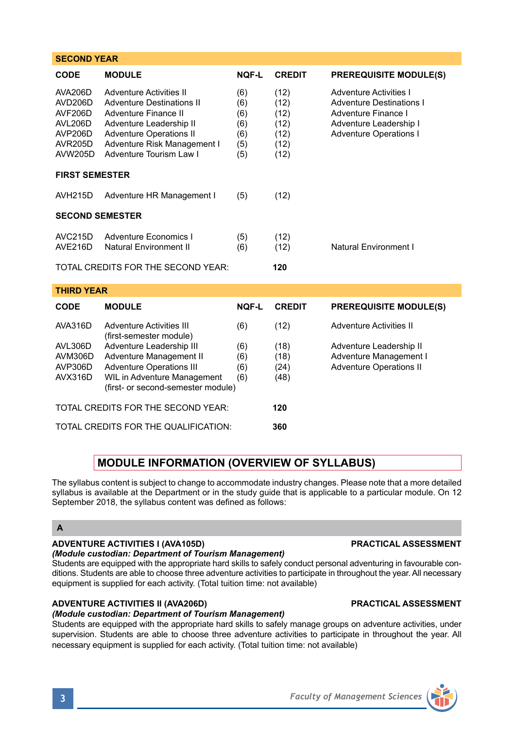| <b>SECOND YEAR</b>                                                                                                                                                                                                                                                               |                                                                                                                                                                                                                   |                          |                                                      |                                                                                                                                             |  |  |  |
|----------------------------------------------------------------------------------------------------------------------------------------------------------------------------------------------------------------------------------------------------------------------------------|-------------------------------------------------------------------------------------------------------------------------------------------------------------------------------------------------------------------|--------------------------|------------------------------------------------------|---------------------------------------------------------------------------------------------------------------------------------------------|--|--|--|
| CODE                                                                                                                                                                                                                                                                             | <b>MODULE</b>                                                                                                                                                                                                     | <b>NOF-L</b>             | <b>CREDIT</b>                                        | <b>PREREQUISITE MODULE(S)</b>                                                                                                               |  |  |  |
| AVA206D<br>AVD206D<br>AVF206D<br>AVL206D<br><b>AVP206D</b><br><b>AVR205D</b><br><b>AVW205D</b>                                                                                                                                                                                   | <b>Adventure Activities II</b><br><b>Adventure Destinations II</b><br>Adventure Finance II<br>Adventure Leadership II<br><b>Adventure Operations II</b><br>Adventure Risk Management I<br>Adventure Tourism Law I |                          | (12)<br>(12)<br>(12)<br>(12)<br>(12)<br>(12)<br>(12) | Adventure Activities I<br><b>Adventure Destinations I</b><br>Adventure Finance I<br>Adventure Leadership I<br><b>Adventure Operations I</b> |  |  |  |
| <b>FIRST SEMESTER</b>                                                                                                                                                                                                                                                            |                                                                                                                                                                                                                   |                          |                                                      |                                                                                                                                             |  |  |  |
| <b>AVH215D</b>                                                                                                                                                                                                                                                                   | Adventure HR Management I                                                                                                                                                                                         | (5)                      | (12)                                                 |                                                                                                                                             |  |  |  |
| <b>SECOND SEMESTER</b>                                                                                                                                                                                                                                                           |                                                                                                                                                                                                                   |                          |                                                      |                                                                                                                                             |  |  |  |
| <b>AVC215D</b><br><b>AVE216D</b>                                                                                                                                                                                                                                                 | Adventure Economics I<br>Natural Environment II                                                                                                                                                                   | (5)<br>(6)               | (12)<br>(12)                                         | Natural Environment I                                                                                                                       |  |  |  |
| TOTAL CREDITS FOR THE SECOND YEAR:<br>120                                                                                                                                                                                                                                        |                                                                                                                                                                                                                   |                          |                                                      |                                                                                                                                             |  |  |  |
| <b>THIRD YEAR</b>                                                                                                                                                                                                                                                                |                                                                                                                                                                                                                   |                          |                                                      |                                                                                                                                             |  |  |  |
| <b>CODE</b>                                                                                                                                                                                                                                                                      | <b>MODULE</b>                                                                                                                                                                                                     | <b>NOF-L</b>             | <b>CREDIT</b>                                        | <b>PREREQUISITE MODULE(S)</b>                                                                                                               |  |  |  |
| AVA316D<br><b>Adventure Activities III</b><br>(first-semester module)<br>Adventure Leadership III<br>AVL306D<br>AVM306D<br>Adventure Management II<br>AVP306D<br><b>Adventure Operations III</b><br>AVX316D<br>WIL in Adventure Management<br>(first- or second-semester module) |                                                                                                                                                                                                                   | (6)                      | (12)                                                 | <b>Adventure Activities II</b>                                                                                                              |  |  |  |
|                                                                                                                                                                                                                                                                                  |                                                                                                                                                                                                                   | (6)<br>(6)<br>(6)<br>(6) | (18)<br>(18)<br>(24)<br>(48)                         | Adventure Leadership II<br>Adventure Management I<br><b>Adventure Operations II</b>                                                         |  |  |  |
| TOTAL CREDITS FOR THE SECOND YEAR:                                                                                                                                                                                                                                               |                                                                                                                                                                                                                   |                          | 120                                                  |                                                                                                                                             |  |  |  |
|                                                                                                                                                                                                                                                                                  | TOTAL CREDITS FOR THE QUALIFICATION:                                                                                                                                                                              | 360                      |                                                      |                                                                                                                                             |  |  |  |
|                                                                                                                                                                                                                                                                                  |                                                                                                                                                                                                                   |                          |                                                      |                                                                                                                                             |  |  |  |

# **MODULE INFORMATION (OVERVIEW OF SYLLABUS)**

The syllabus content is subject to change to accommodate industry changes. Please note that a more detailed syllabus is available at the Department or in the study guide that is applicable to a particular module. On 12 September 2018, the syllabus content was defined as follows:

## **A**

# **ADVENTURE ACTIVITIES I (AVA105D) PRACTICAL ASSESSMENT**

*(Module custodian: Department of Tourism Management)*

Students are equipped with the appropriate hard skills to safely conduct personal adventuring in favourable conditions. Students are able to choose three adventure activities to participate in throughout the year. All necessary equipment is supplied for each activity. (Total tuition time: not available)

# **ADVENTURE ACTIVITIES II (AVA206D) PRACTICAL ASSESSMENT**

## *(Module custodian: Department of Tourism Management)*

Students are equipped with the appropriate hard skills to safely manage groups on adventure activities, under supervision. Students are able to choose three adventure activities to participate in throughout the year. All necessary equipment is supplied for each activity. (Total tuition time: not available)

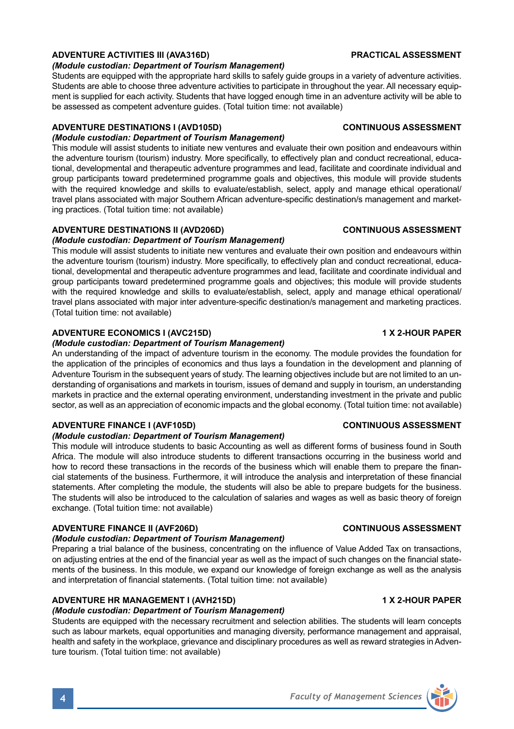# **ADVENTURE ACTIVITIES III (AVA316D) PRACTICAL ASSESSMENT**

## *(Module custodian: Department of Tourism Management)*

Students are equipped with the appropriate hard skills to safely guide groups in a variety of adventure activities. Students are able to choose three adventure activities to participate in throughout the year. All necessary equipment is supplied for each activity. Students that have logged enough time in an adventure activity will be able to be assessed as competent adventure guides. (Total tuition time: not available)

# **ADVENTURE DESTINATIONS I (AVD105D) CONTINUOUS ASSESSMENT**

## *(Module custodian: Department of Tourism Management)*

This module will assist students to initiate new ventures and evaluate their own position and endeavours within the adventure tourism (tourism) industry. More specifically, to effectively plan and conduct recreational, educational, developmental and therapeutic adventure programmes and lead, facilitate and coordinate individual and group participants toward predetermined programme goals and objectives, this module will provide students with the required knowledge and skills to evaluate/establish, select, apply and manage ethical operational/ travel plans associated with major Southern African adventure-specific destination/s management and marketing practices. (Total tuition time: not available)

# **ADVENTURE DESTINATIONS II (AVD206D) CONTINUOUS ASSESSMENT**

# *(Module custodian: Department of Tourism Management)*

This module will assist students to initiate new ventures and evaluate their own position and endeavours within the adventure tourism (tourism) industry. More specifically, to effectively plan and conduct recreational, educational, developmental and therapeutic adventure programmes and lead, facilitate and coordinate individual and group participants toward predetermined programme goals and objectives; this module will provide students with the required knowledge and skills to evaluate/establish, select, apply and manage ethical operational/ travel plans associated with major inter adventure-specific destination/s management and marketing practices. (Total tuition time: not available)

# **ADVENTURE ECONOMICS I (AVC215D) 1 X 2-HOUR PAPER**

## *(Module custodian: Department of Tourism Management)*

An understanding of the impact of adventure tourism in the economy. The module provides the foundation for the application of the principles of economics and thus lays a foundation in the development and planning of Adventure Tourism in the subsequent years of study. The learning objectives include but are not limited to an understanding of organisations and markets in tourism, issues of demand and supply in tourism, an understanding markets in practice and the external operating environment, understanding investment in the private and public sector, as well as an appreciation of economic impacts and the global economy. (Total tuition time: not available)

# **ADVENTURE FINANCE I (AVF105D) CONTINUOUS ASSESSMENT**

## *(Module custodian: Department of Tourism Management)*

This module will introduce students to basic Accounting as well as different forms of business found in South Africa. The module will also introduce students to different transactions occurring in the business world and how to record these transactions in the records of the business which will enable them to prepare the financial statements of the business. Furthermore, it will introduce the analysis and interpretation of these financial statements. After completing the module, the students will also be able to prepare budgets for the business. The students will also be introduced to the calculation of salaries and wages as well as basic theory of foreign exchange. (Total tuition time: not available)

# **ADVENTURE FINANCE II (AVF206D) CONTINUOUS ASSESSMENT**

## *(Module custodian: Department of Tourism Management)*

Preparing a trial balance of the business, concentrating on the influence of Value Added Tax on transactions, on adjusting entries at the end of the financial year as well as the impact of such changes on the financial statements of the business. In this module, we expand our knowledge of foreign exchange as well as the analysis and interpretation of financial statements. (Total tuition time: not available)

# **ADVENTURE HR MANAGEMENT I (AVH215D) 1 X 2-HOUR PAPER**

## *(Module custodian: Department of Tourism Management)*

Students are equipped with the necessary recruitment and selection abilities. The students will learn concepts such as labour markets, equal opportunities and managing diversity, performance management and appraisal, health and safety in the workplace, grievance and disciplinary procedures as well as reward strategies in Adventure tourism. (Total tuition time: not available)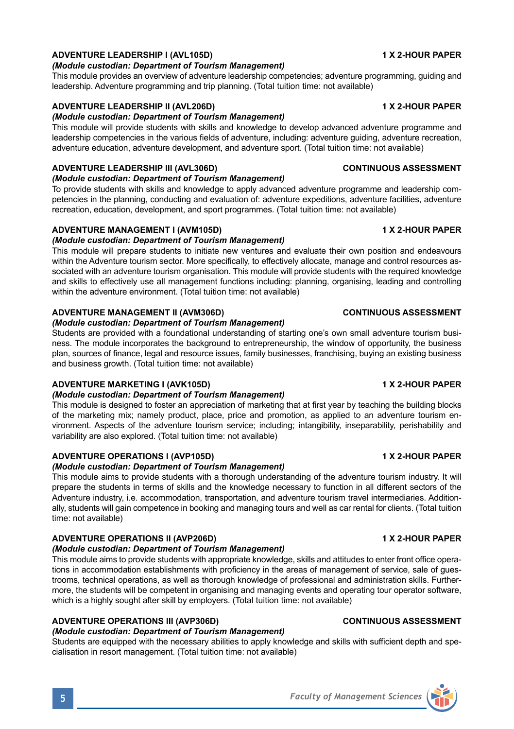## **ADVENTURE LEADERSHIP I (AVL105D) 1 X 2-HOUR PAPER**

## *(Module custodian: Department of Tourism Management)*

This module provides an overview of adventure leadership competencies; adventure programming, guiding and leadership. Adventure programming and trip planning. (Total tuition time: not available)

# **ADVENTURE LEADERSHIP II (AVL206D) 1 X 2-HOUR PAPER**

## *(Module custodian: Department of Tourism Management)*

This module will provide students with skills and knowledge to develop advanced adventure programme and leadership competencies in the various fields of adventure, including: adventure guiding, adventure recreation, adventure education, adventure development, and adventure sport. (Total tuition time: not available)

# **ADVENTURE LEADERSHIP III (AVL306D) CONTINUOUS ASSESSMENT**

## *(Module custodian: Department of Tourism Management)*

To provide students with skills and knowledge to apply advanced adventure programme and leadership competencies in the planning, conducting and evaluation of: adventure expeditions, adventure facilities, adventure recreation, education, development, and sport programmes. (Total tuition time: not available)

# **ADVENTURE MANAGEMENT I (AVM105D) 1 X 2-HOUR PAPER**

## *(Module custodian: Department of Tourism Management)*

This module will prepare students to initiate new ventures and evaluate their own position and endeavours within the Adventure tourism sector. More specifically, to effectively allocate, manage and control resources associated with an adventure tourism organisation. This module will provide students with the required knowledge and skills to effectively use all management functions including: planning, organising, leading and controlling within the adventure environment. (Total tuition time: not available)

## **ADVENTURE MANAGEMENT II (AVM306D) CONTINUOUS ASSESSMENT**

## *(Module custodian: Department of Tourism Management)*

Students are provided with a foundational understanding of starting one's own small adventure tourism business. The module incorporates the background to entrepreneurship, the window of opportunity, the business plan, sources of finance, legal and resource issues, family businesses, franchising, buying an existing business and business growth. (Total tuition time: not available)

## **ADVENTURE MARKETING I (AVK105D) 1 X 2-HOUR PAPER**

## *(Module custodian: Department of Tourism Management)*

This module is designed to foster an appreciation of marketing that at first year by teaching the building blocks of the marketing mix; namely product, place, price and promotion, as applied to an adventure tourism environment. Aspects of the adventure tourism service; including; intangibility, inseparability, perishability and variability are also explored. (Total tuition time: not available)

# **ADVENTURE OPERATIONS I (AVP105D) 1 X 2-HOUR PAPER**

## *(Module custodian: Department of Tourism Management)*

This module aims to provide students with a thorough understanding of the adventure tourism industry. It will prepare the students in terms of skills and the knowledge necessary to function in all different sectors of the Adventure industry, i.e. accommodation, transportation, and adventure tourism travel intermediaries. Additionally, students will gain competence in booking and managing tours and well as car rental for clients. (Total tuition time: not available)

## **ADVENTURE OPERATIONS II (AVP206D) 1 X 2-HOUR PAPER**

## *(Module custodian: Department of Tourism Management)*

This module aims to provide students with appropriate knowledge, skills and attitudes to enter front office operations in accommodation establishments with proficiency in the areas of management of service, sale of guestrooms, technical operations, as well as thorough knowledge of professional and administration skills. Furthermore, the students will be competent in organising and managing events and operating tour operator software, which is a highly sought after skill by employers. (Total tuition time: not available)

# **ADVENTURE OPERATIONS III (AVP306D) CONTINUOUS ASSESSMENT**

## *(Module custodian: Department of Tourism Management)*

Students are equipped with the necessary abilities to apply knowledge and skills with sufficient depth and specialisation in resort management. (Total tuition time: not available)

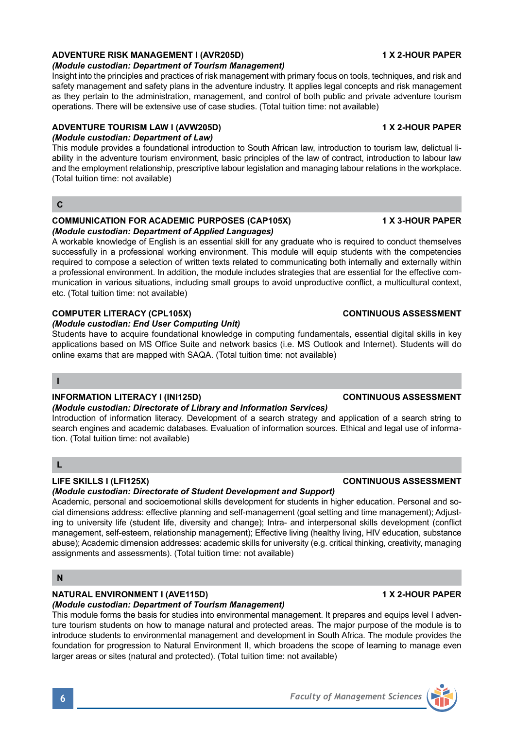### **ADVENTURE RISK MANAGEMENT I (AVR205D) 1 X 2-HOUR PAPER**

### *(Module custodian: Department of Tourism Management)*

Insight into the principles and practices of risk management with primary focus on tools, techniques, and risk and safety management and safety plans in the adventure industry. It applies legal concepts and risk management as they pertain to the administration, management, and control of both public and private adventure tourism operations. There will be extensive use of case studies. (Total tuition time: not available)

## **ADVENTURE TOURISM LAW I (AVW205D) 1 X 2-HOUR PAPER**

*(Module custodian: Department of Law)*

This module provides a foundational introduction to South African law, introduction to tourism law, delictual liability in the adventure tourism environment, basic principles of the law of contract, introduction to labour law and the employment relationship, prescriptive labour legislation and managing labour relations in the workplace. (Total tuition time: not available)

### **C**

#### **COMMUNICATION FOR ACADEMIC PURPOSES (CAP105X) 1 X 3-HOUR PAPER** *(Module custodian: Department of Applied Languages)*

A workable knowledge of English is an essential skill for any graduate who is required to conduct themselves successfully in a professional working environment. This module will equip students with the competencies required to compose a selection of written texts related to communicating both internally and externally within a professional environment. In addition, the module includes strategies that are essential for the effective communication in various situations, including small groups to avoid unproductive conflict, a multicultural context, etc. (Total tuition time: not available)

#### **COMPUTER LITERACY (CPL105X) CONTINUOUS ASSESSMENT**

#### *(Module custodian: End User Computing Unit)*

Students have to acquire foundational knowledge in computing fundamentals, essential digital skills in key applications based on MS Office Suite and network basics (i.e. MS Outlook and Internet). Students will do online exams that are mapped with SAQA. (Total tuition time: not available)

### **I**

### **INFORMATION LITERACY I (INI125D) CONTINUOUS ASSESSMENT**

#### *(Module custodian: Directorate of Library and Information Services)*

Introduction of information literacy. Development of a search strategy and application of a search string to search engines and academic databases. Evaluation of information sources. Ethical and legal use of information. (Total tuition time: not available)

### **L**

### **LIFE SKILLS I (LFI125X) CONTINUOUS ASSESSMENT**

## *(Module custodian: Directorate of Student Development and Support)*

Academic, personal and socioemotional skills development for students in higher education. Personal and social dimensions address: effective planning and self-management (goal setting and time management); Adjusting to university life (student life, diversity and change); Intra- and interpersonal skills development (conflict management, self-esteem, relationship management); Effective living (healthy living, HIV education, substance abuse); Academic dimension addresses: academic skills for university (e.g. critical thinking, creativity, managing assignments and assessments). (Total tuition time: not available)

### **N**

## **NATURAL ENVIRONMENT I (AVE115D) 1 X 2-HOUR PAPER**

## *(Module custodian: Department of Tourism Management)*

This module forms the basis for studies into environmental management. It prepares and equips level I adventure tourism students on how to manage natural and protected areas. The major purpose of the module is to introduce students to environmental management and development in South Africa. The module provides the foundation for progression to Natural Environment II, which broadens the scope of learning to manage even larger areas or sites (natural and protected). (Total tuition time: not available)